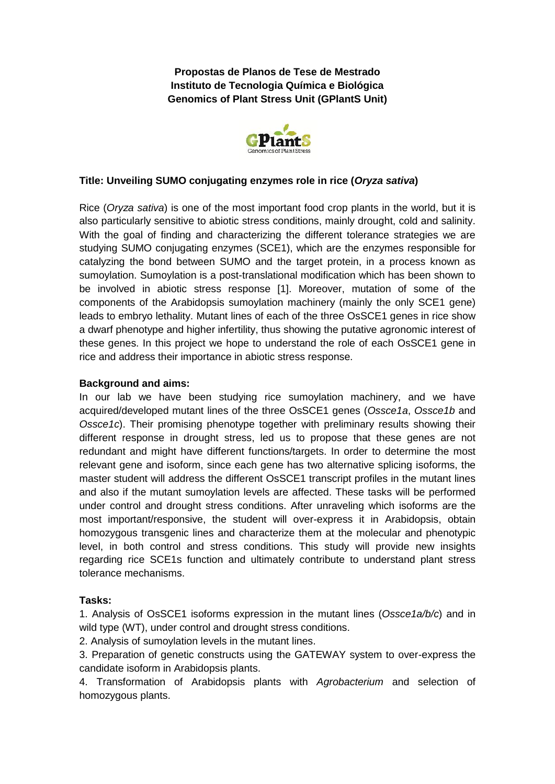**Propostas de Planos de Tese de Mestrado Instituto de Tecnologia Química e Biológica Genomics of Plant Stress Unit (GPlantS Unit)**



# **Title: Unveiling SUMO conjugating enzymes role in rice (***Oryza sativa***)**

Rice (*Oryza sativa*) is one of the most important food crop plants in the world, but it is also particularly sensitive to abiotic stress conditions, mainly drought, cold and salinity. With the goal of finding and characterizing the different tolerance strategies we are studying SUMO conjugating enzymes (SCE1), which are the enzymes responsible for catalyzing the bond between SUMO and the target protein, in a process known as sumoylation. Sumoylation is a post-translational modification which has been shown to be involved in abiotic stress response [1]. Moreover, mutation of some of the components of the Arabidopsis sumoylation machinery (mainly the only SCE1 gene) leads to embryo lethality. Mutant lines of each of the three OsSCE1 genes in rice show a dwarf phenotype and higher infertility, thus showing the putative agronomic interest of these genes. In this project we hope to understand the role of each OsSCE1 gene in rice and address their importance in abiotic stress response.

## **Background and aims:**

In our lab we have been studying rice sumoylation machinery, and we have acquired/developed mutant lines of the three OsSCE1 genes (*Ossce1a*, *Ossce1b* and *Ossce1c*). Their promising phenotype together with preliminary results showing their different response in drought stress, led us to propose that these genes are not redundant and might have different functions/targets. In order to determine the most relevant gene and isoform, since each gene has two alternative splicing isoforms, the master student will address the different OsSCE1 transcript profiles in the mutant lines and also if the mutant sumoylation levels are affected. These tasks will be performed under control and drought stress conditions. After unraveling which isoforms are the most important/responsive, the student will over-express it in Arabidopsis, obtain homozygous transgenic lines and characterize them at the molecular and phenotypic level, in both control and stress conditions. This study will provide new insights regarding rice SCE1s function and ultimately contribute to understand plant stress tolerance mechanisms.

## **Tasks:**

1. Analysis of OsSCE1 isoforms expression in the mutant lines (*Ossce1a/b/c*) and in wild type (WT), under control and drought stress conditions.

2. Analysis of sumoylation levels in the mutant lines.

3. Preparation of genetic constructs using the GATEWAY system to over-express the candidate isoform in Arabidopsis plants.

4. Transformation of Arabidopsis plants with *Agrobacterium* and selection of homozygous plants.